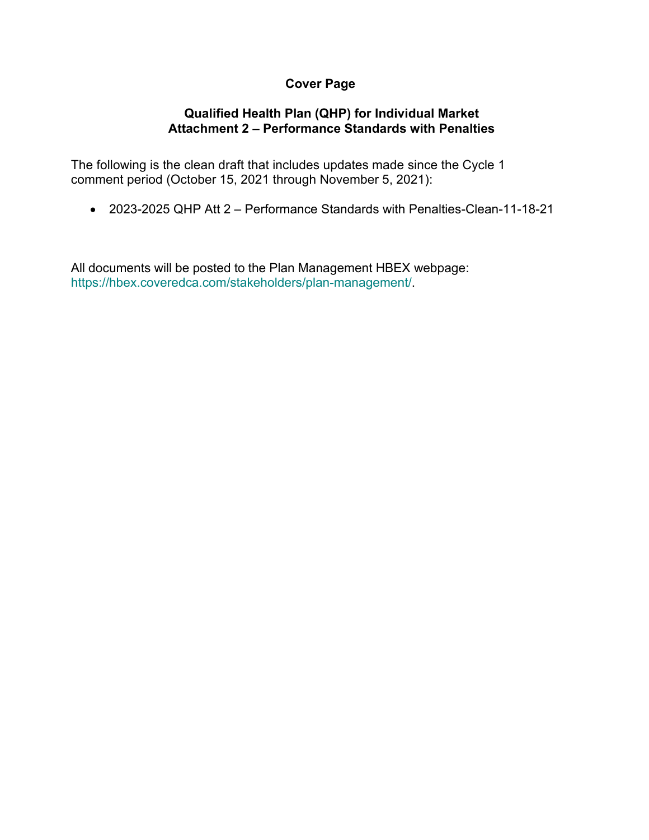## **Cover Page**

# **Qualified Health Plan (QHP) for Individual Market Attachment 2 – Performance Standards with Penalties**

The following is the clean draft that includes updates made since the Cycle 1 comment period (October 15, 2021 through November 5, 2021):

• 2023-2025 QHP Att 2 – Performance Standards with Penalties-Clean-11-18-21

All documents will be posted to the Plan Management HBEX webpage: https://hbex.coveredca.com/stakeholders/plan-management/.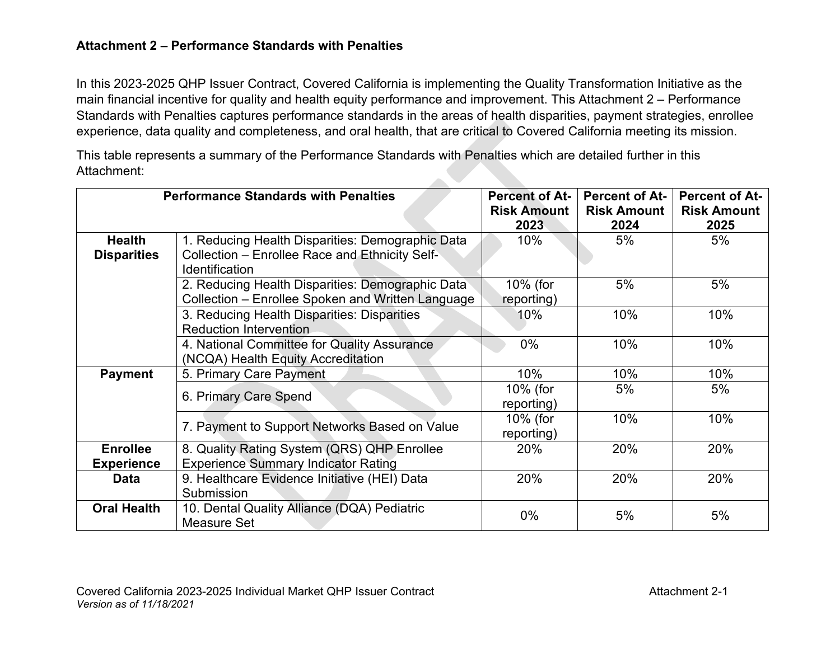## **Attachment 2 – Performance Standards with Penalties**

In this 2023-2025 QHP Issuer Contract, Covered California is implementing the Quality Transformation Initiative as the main financial incentive for quality and health equity performance and improvement. This Attachment 2 – Performance Standards with Penalties captures performance standards in the areas of health disparities, payment strategies, enrollee experience, data quality and completeness, and oral health, that are critical to Covered California meeting its mission.

This table represents a summary of the Performance Standards with Penalties which are detailed further in this Attachment: 

|                    | <b>Performance Standards with Penalties</b>       | <b>Percent of At-</b> | <b>Percent of At-</b> | <b>Percent of At-</b> |
|--------------------|---------------------------------------------------|-----------------------|-----------------------|-----------------------|
|                    |                                                   | <b>Risk Amount</b>    | <b>Risk Amount</b>    | <b>Risk Amount</b>    |
|                    |                                                   | 2023                  | 2024                  | 2025                  |
| <b>Health</b>      | 1. Reducing Health Disparities: Demographic Data  | $10\%$                | 5%                    | 5%                    |
| <b>Disparities</b> | Collection - Enrollee Race and Ethnicity Self-    |                       |                       |                       |
|                    | Identification                                    |                       |                       |                       |
|                    | 2. Reducing Health Disparities: Demographic Data  | 10% (for              | 5%                    | 5%                    |
|                    | Collection – Enrollee Spoken and Written Language | reporting)            |                       |                       |
|                    | 3. Reducing Health Disparities: Disparities       | 10%                   | 10%                   | 10%                   |
|                    | <b>Reduction Intervention</b>                     |                       |                       |                       |
|                    | 4. National Committee for Quality Assurance       | $0\%$                 | 10%                   | 10%                   |
|                    | (NCQA) Health Equity Accreditation                |                       |                       |                       |
| <b>Payment</b>     | 5. Primary Care Payment                           | 10%                   | 10%                   | 10%                   |
|                    | 6. Primary Care Spend                             | 10% (for              | 5%                    | 5%                    |
|                    |                                                   | reporting)            |                       |                       |
|                    |                                                   | 10% (for              | 10%                   | 10%                   |
|                    | 7. Payment to Support Networks Based on Value     | reporting)            |                       |                       |
| <b>Enrollee</b>    | 8. Quality Rating System (QRS) QHP Enrollee       | 20%                   | 20%                   | 20%                   |
| <b>Experience</b>  | <b>Experience Summary Indicator Rating</b>        |                       |                       |                       |
| Data               | 9. Healthcare Evidence Initiative (HEI) Data      | 20%                   | 20%                   | 20%                   |
|                    | Submission                                        |                       |                       |                       |
| <b>Oral Health</b> | 10. Dental Quality Alliance (DQA) Pediatric       | 0%                    | 5%                    | 5%                    |
|                    | Measure Set                                       |                       |                       |                       |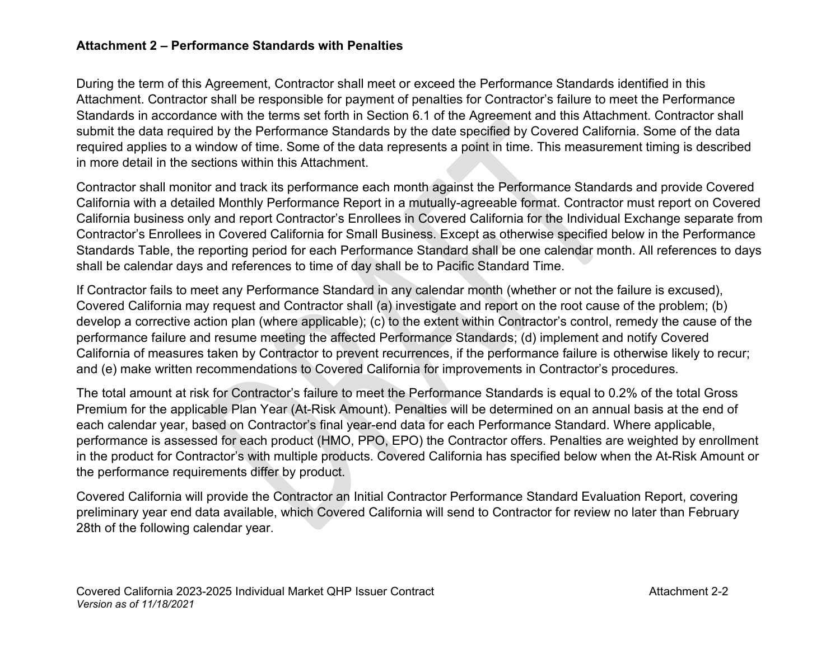### **Attachment 2 – Performance Standards with Penalties**

During the term of this Agreement, Contractor shall meet or exceed the Performance Standards identified in this Attachment. Contractor shall be responsible for payment of penalties for Contractor's failure to meet the Performance Standards in accordance with the terms set forth in Section 6.1 of the Agreement and this Attachment. Contractor shall submit the data required by the Performance Standards by the date specified by Covered California. Some of the data required applies to a window of time. Some of the data represents a point in time. This measurement timing is described in more detail in the sections within this Attachment.

Contractor shall monitor and track its performance each month against the Performance Standards and provide Covered California with a detailed Monthly Performance Report in a mutually-agreeable format. Contractor must report on Covered California business only and report Contractor's Enrollees in Covered California for the Individual Exchange separate from Contractor's Enrollees in Covered California for Small Business. Except as otherwise specified below in the Performance Standards Table, the reporting period for each Performance Standard shall be one calendar month. All references to days shall be calendar days and references to time of day shall be to Pacific Standard Time.

If Contractor fails to meet any Performance Standard in any calendar month (whether or not the failure is excused), Covered California may request and Contractor shall (a) investigate and report on the root cause of the problem; (b) develop a corrective action plan (where applicable); (c) to the extent within Contractor's control, remedy the cause of the performance failure and resume meeting the affected Performance Standards; (d) implement and notify Covered California of measures taken by Contractor to prevent recurrences, if the performance failure is otherwise likely to recur; and (e) make written recommendations to Covered California for improvements in Contractor's procedures.

The total amount at risk for Contractor's failure to meet the Performance Standards is equal to 0.2% of the total Gross Premium for the applicable Plan Year (At-Risk Amount). Penalties will be determined on an annual basis at the end of each calendar year, based on Contractor's final year-end data for each Performance Standard. Where applicable, performance is assessed for each product (HMO, PPO, EPO) the Contractor offers. Penalties are weighted by enrollment in the product for Contractor's with multiple products. Covered California has specified below when the At-Risk Amount or the performance requirements differ by product.

Covered California will provide the Contractor an Initial Contractor Performance Standard Evaluation Report, covering preliminary year end data available, which Covered California will send to Contractor for review no later than February 28th of the following calendar year.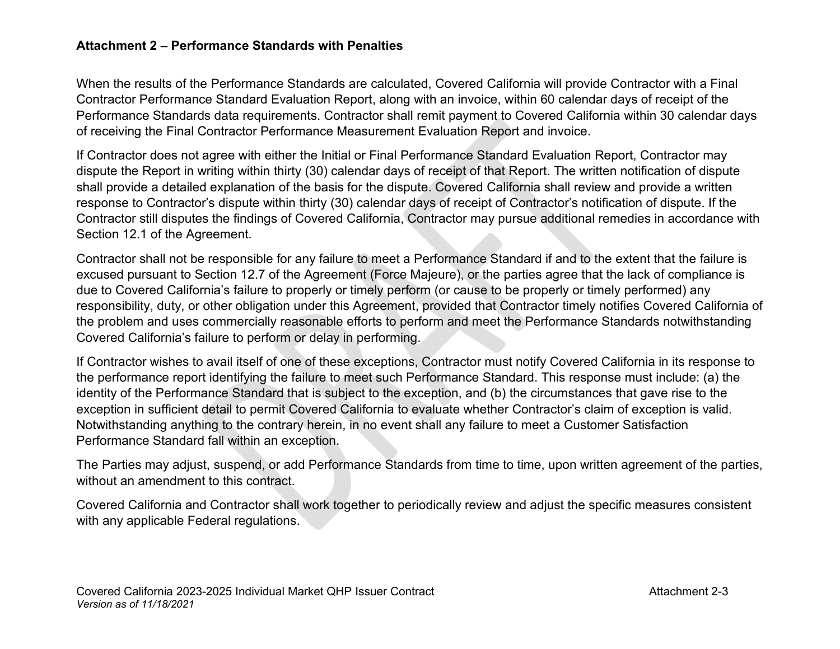### **Attachment 2 – Performance Standards with Penalties**

When the results of the Performance Standards are calculated, Covered California will provide Contractor with a Final Contractor Performance Standard Evaluation Report, along with an invoice, within 60 calendar days of receipt of the Performance Standards data requirements. Contractor shall remit payment to Covered California within 30 calendar days of receiving the Final Contractor Performance Measurement Evaluation Report and invoice.

If Contractor does not agree with either the Initial or Final Performance Standard Evaluation Report, Contractor may dispute the Report in writing within thirty (30) calendar days of receipt of that Report. The written notification of dispute shall provide a detailed explanation of the basis for the dispute. Covered California shall review and provide a written response to Contractor's dispute within thirty (30) calendar days of receipt of Contractor's notification of dispute. If the Contractor still disputes the findings of Covered California, Contractor may pursue additional remedies in accordance with Section 12.1 of the Agreement.

Contractor shall not be responsible for any failure to meet a Performance Standard if and to the extent that the failure is excused pursuant to Section 12.7 of the Agreement (Force Majeure), or the parties agree that the lack of compliance is due to Covered California's failure to properly or timely perform (or cause to be properly or timely performed) any responsibility, duty, or other obligation under this Agreement, provided that Contractor timely notifies Covered California of the problem and uses commercially reasonable efforts to perform and meet the Performance Standards notwithstanding Covered California's failure to perform or delay in performing.

If Contractor wishes to avail itself of one of these exceptions, Contractor must notify Covered California in its response to the performance report identifying the failure to meet such Performance Standard. This response must include: (a) the identity of the Performance Standard that is subject to the exception, and (b) the circumstances that gave rise to the exception in sufficient detail to permit Covered California to evaluate whether Contractor's claim of exception is valid. Notwithstanding anything to the contrary herein, in no event shall any failure to meet a Customer Satisfaction Performance Standard fall within an exception.

The Parties may adjust, suspend, or add Performance Standards from time to time, upon written agreement of the parties, without an amendment to this contract.

Covered California and Contractor shall work together to periodically review and adjust the specific measures consistent with any applicable Federal regulations.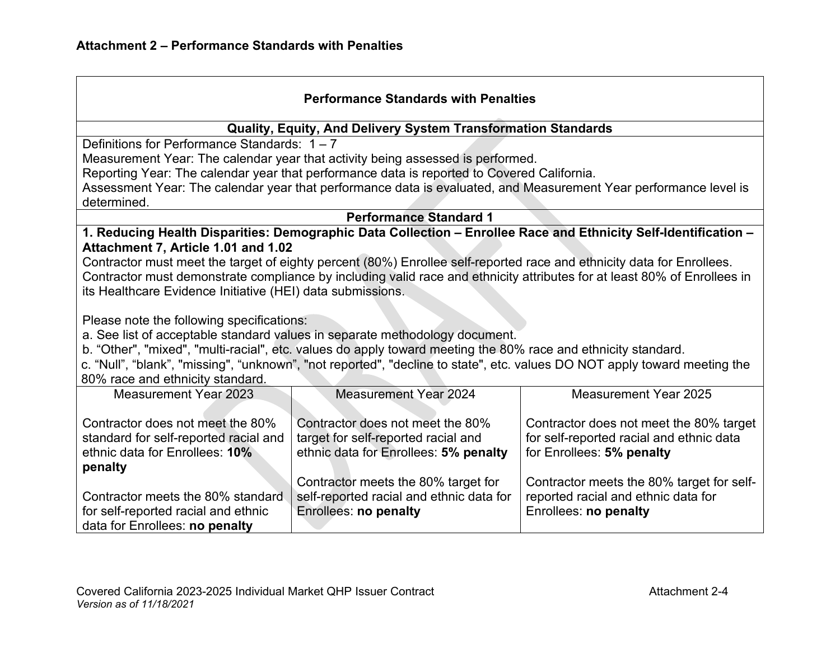| <b>Performance Standards with Penalties</b>                   |                                                                                                                           |                                                                                                                          |  |
|---------------------------------------------------------------|---------------------------------------------------------------------------------------------------------------------------|--------------------------------------------------------------------------------------------------------------------------|--|
| Quality, Equity, And Delivery System Transformation Standards |                                                                                                                           |                                                                                                                          |  |
| Definitions for Performance Standards: $1 - 7$                |                                                                                                                           |                                                                                                                          |  |
|                                                               | Measurement Year: The calendar year that activity being assessed is performed.                                            |                                                                                                                          |  |
|                                                               | Reporting Year: The calendar year that performance data is reported to Covered California.                                |                                                                                                                          |  |
|                                                               |                                                                                                                           | Assessment Year: The calendar year that performance data is evaluated, and Measurement Year performance level is         |  |
| determined.                                                   |                                                                                                                           |                                                                                                                          |  |
|                                                               | <b>Performance Standard 1</b>                                                                                             |                                                                                                                          |  |
|                                                               |                                                                                                                           | 1. Reducing Health Disparities: Demographic Data Collection - Enrollee Race and Ethnicity Self-Identification -          |  |
| Attachment 7, Article 1.01 and 1.02                           |                                                                                                                           |                                                                                                                          |  |
|                                                               | Contractor must meet the target of eighty percent (80%) Enrollee self-reported race and ethnicity data for Enrollees.     |                                                                                                                          |  |
|                                                               |                                                                                                                           | Contractor must demonstrate compliance by including valid race and ethnicity attributes for at least 80% of Enrollees in |  |
| its Healthcare Evidence Initiative (HEI) data submissions.    |                                                                                                                           |                                                                                                                          |  |
| Please note the following specifications:                     |                                                                                                                           |                                                                                                                          |  |
|                                                               | a. See list of acceptable standard values in separate methodology document.                                               |                                                                                                                          |  |
|                                                               | b. "Other", "mixed", "multi-racial", etc. values do apply toward meeting the 80% race and ethnicity standard.             |                                                                                                                          |  |
|                                                               |                                                                                                                           |                                                                                                                          |  |
| 80% race and ethnicity standard.                              | c. "Null", "blank", "missing", "unknown", "not reported", "decline to state", etc. values DO NOT apply toward meeting the |                                                                                                                          |  |
| <b>Measurement Year 2023</b>                                  | <b>Measurement Year 2024</b>                                                                                              | <b>Measurement Year 2025</b>                                                                                             |  |
|                                                               |                                                                                                                           |                                                                                                                          |  |
| Contractor does not meet the 80%                              | Contractor does not meet the 80%                                                                                          | Contractor does not meet the 80% target                                                                                  |  |
| standard for self-reported racial and                         | target for self-reported racial and                                                                                       | for self-reported racial and ethnic data                                                                                 |  |
| ethnic data for Enrollees: 10%                                | ethnic data for Enrollees: 5% penalty                                                                                     | for Enrollees: 5% penalty                                                                                                |  |
| penalty                                                       |                                                                                                                           |                                                                                                                          |  |
|                                                               | Contractor meets the 80% target for                                                                                       | Contractor meets the 80% target for self-                                                                                |  |
| Contractor meets the 80% standard                             | self-reported racial and ethnic data for                                                                                  | reported racial and ethnic data for                                                                                      |  |
| for self-reported racial and ethnic                           | Enrollees: no penalty                                                                                                     | Enrollees: no penalty                                                                                                    |  |
| data for Enrollees: no penalty                                |                                                                                                                           |                                                                                                                          |  |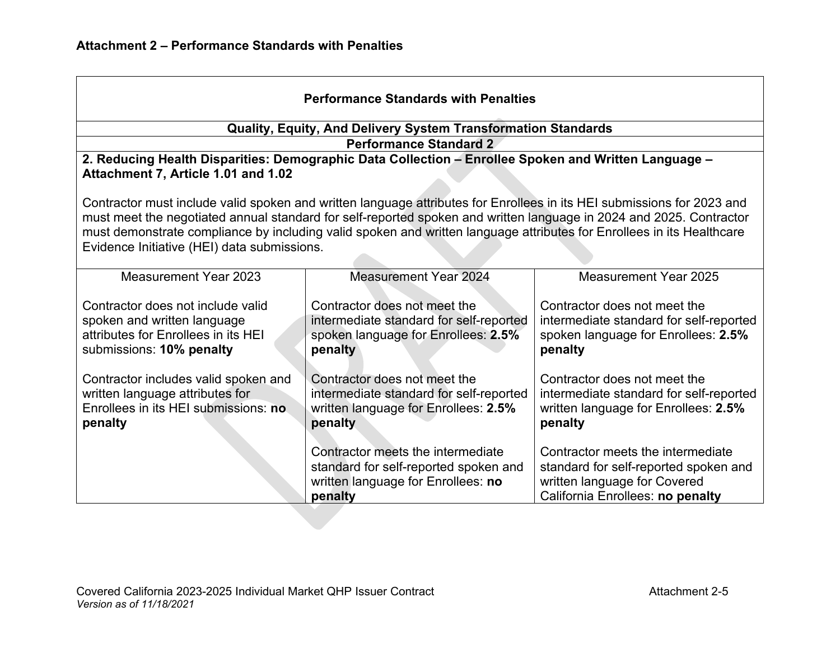| <b>Performance Standards with Penalties</b>                                                                                                                                                                                                                                                                                                                                                                           |                                                                                                                             |                                                                                                                                                |  |  |
|-----------------------------------------------------------------------------------------------------------------------------------------------------------------------------------------------------------------------------------------------------------------------------------------------------------------------------------------------------------------------------------------------------------------------|-----------------------------------------------------------------------------------------------------------------------------|------------------------------------------------------------------------------------------------------------------------------------------------|--|--|
|                                                                                                                                                                                                                                                                                                                                                                                                                       | Quality, Equity, And Delivery System Transformation Standards                                                               |                                                                                                                                                |  |  |
|                                                                                                                                                                                                                                                                                                                                                                                                                       | <b>Performance Standard 2</b>                                                                                               |                                                                                                                                                |  |  |
| Attachment 7, Article 1.01 and 1.02                                                                                                                                                                                                                                                                                                                                                                                   | 2. Reducing Health Disparities: Demographic Data Collection - Enrollee Spoken and Written Language -                        |                                                                                                                                                |  |  |
| Contractor must include valid spoken and written language attributes for Enrollees in its HEI submissions for 2023 and<br>must meet the negotiated annual standard for self-reported spoken and written language in 2024 and 2025. Contractor<br>must demonstrate compliance by including valid spoken and written language attributes for Enrollees in its Healthcare<br>Evidence Initiative (HEI) data submissions. |                                                                                                                             |                                                                                                                                                |  |  |
| <b>Measurement Year 2023</b>                                                                                                                                                                                                                                                                                                                                                                                          | <b>Measurement Year 2024</b>                                                                                                | <b>Measurement Year 2025</b>                                                                                                                   |  |  |
| Contractor does not include valid<br>spoken and written language<br>attributes for Enrollees in its HEI<br>submissions: 10% penalty                                                                                                                                                                                                                                                                                   | Contractor does not meet the<br>intermediate standard for self-reported<br>spoken language for Enrollees: 2.5%<br>penalty   | Contractor does not meet the<br>intermediate standard for self-reported<br>spoken language for Enrollees: 2.5%<br>penalty                      |  |  |
| Contractor includes valid spoken and<br>written language attributes for<br>Enrollees in its HEI submissions: no<br>penalty                                                                                                                                                                                                                                                                                            | Contractor does not meet the<br>intermediate standard for self-reported<br>written language for Enrollees: 2.5%<br>penalty  | Contractor does not meet the<br>intermediate standard for self-reported<br>written language for Enrollees: 2.5%<br>penalty                     |  |  |
|                                                                                                                                                                                                                                                                                                                                                                                                                       | Contractor meets the intermediate<br>standard for self-reported spoken and<br>written language for Enrollees: no<br>penalty | Contractor meets the intermediate<br>standard for self-reported spoken and<br>written language for Covered<br>California Enrollees: no penalty |  |  |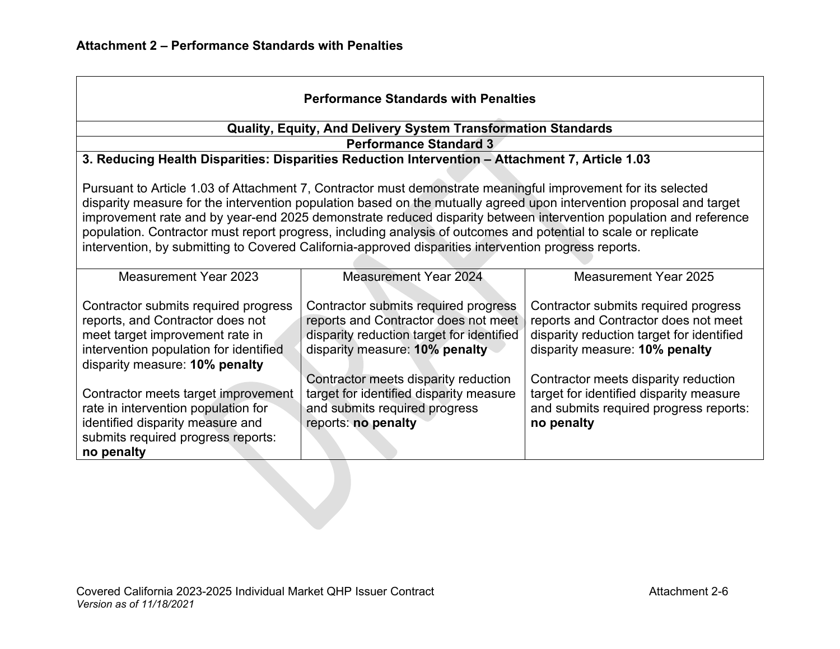| <b>Performance Standards with Penalties</b>                                                                                                                                                                                                                                                                                                                                                                                                                                                                                                                                            |                                                                                                                                                                                                     |                                                                                                                                                                                                     |  |
|----------------------------------------------------------------------------------------------------------------------------------------------------------------------------------------------------------------------------------------------------------------------------------------------------------------------------------------------------------------------------------------------------------------------------------------------------------------------------------------------------------------------------------------------------------------------------------------|-----------------------------------------------------------------------------------------------------------------------------------------------------------------------------------------------------|-----------------------------------------------------------------------------------------------------------------------------------------------------------------------------------------------------|--|
|                                                                                                                                                                                                                                                                                                                                                                                                                                                                                                                                                                                        | <b>Quality, Equity, And Delivery System Transformation Standards</b>                                                                                                                                |                                                                                                                                                                                                     |  |
|                                                                                                                                                                                                                                                                                                                                                                                                                                                                                                                                                                                        | <b>Performance Standard 3</b>                                                                                                                                                                       |                                                                                                                                                                                                     |  |
|                                                                                                                                                                                                                                                                                                                                                                                                                                                                                                                                                                                        | 3. Reducing Health Disparities: Disparities Reduction Intervention - Attachment 7, Article 1.03                                                                                                     |                                                                                                                                                                                                     |  |
| Pursuant to Article 1.03 of Attachment 7, Contractor must demonstrate meaningful improvement for its selected<br>disparity measure for the intervention population based on the mutually agreed upon intervention proposal and target<br>improvement rate and by year-end 2025 demonstrate reduced disparity between intervention population and reference<br>population. Contractor must report progress, including analysis of outcomes and potential to scale or replicate<br>intervention, by submitting to Covered California-approved disparities intervention progress reports. |                                                                                                                                                                                                     |                                                                                                                                                                                                     |  |
| Measurement Year 2023                                                                                                                                                                                                                                                                                                                                                                                                                                                                                                                                                                  | <b>Measurement Year 2024</b>                                                                                                                                                                        | Measurement Year 2025                                                                                                                                                                               |  |
| Contractor submits required progress<br>reports, and Contractor does not<br>meet target improvement rate in<br>intervention population for identified<br>disparity measure: 10% penalty                                                                                                                                                                                                                                                                                                                                                                                                | Contractor submits required progress<br>reports and Contractor does not meet<br>disparity reduction target for identified<br>disparity measure: 10% penalty<br>Contractor meets disparity reduction | Contractor submits required progress<br>reports and Contractor does not meet<br>disparity reduction target for identified<br>disparity measure: 10% penalty<br>Contractor meets disparity reduction |  |
| Contractor meets target improvement<br>rate in intervention population for<br>identified disparity measure and<br>submits required progress reports:<br>no penalty                                                                                                                                                                                                                                                                                                                                                                                                                     | target for identified disparity measure<br>and submits required progress<br>reports: no penalty                                                                                                     | target for identified disparity measure<br>and submits required progress reports:<br>no penalty                                                                                                     |  |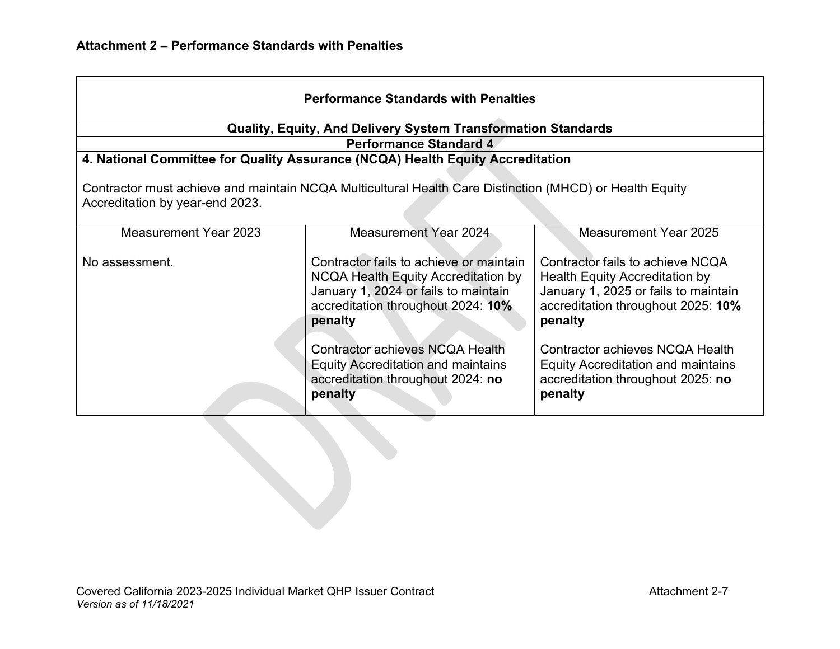|                                                                                                                                            | <b>Performance Standards with Penalties</b>                                                                                                                             |                                                                                                                                                                    |  |  |
|--------------------------------------------------------------------------------------------------------------------------------------------|-------------------------------------------------------------------------------------------------------------------------------------------------------------------------|--------------------------------------------------------------------------------------------------------------------------------------------------------------------|--|--|
|                                                                                                                                            | <b>Quality, Equity, And Delivery System Transformation Standards</b>                                                                                                    |                                                                                                                                                                    |  |  |
|                                                                                                                                            | <b>Performance Standard 4</b>                                                                                                                                           |                                                                                                                                                                    |  |  |
|                                                                                                                                            | 4. National Committee for Quality Assurance (NCQA) Health Equity Accreditation                                                                                          |                                                                                                                                                                    |  |  |
| Contractor must achieve and maintain NCQA Multicultural Health Care Distinction (MHCD) or Health Equity<br>Accreditation by year-end 2023. |                                                                                                                                                                         |                                                                                                                                                                    |  |  |
| <b>Measurement Year 2023</b>                                                                                                               | Measurement Year 2024                                                                                                                                                   | Measurement Year 2025                                                                                                                                              |  |  |
| No assessment.                                                                                                                             | Contractor fails to achieve or maintain<br>NCQA Health Equity Accreditation by<br>January 1, 2024 or fails to maintain<br>accreditation throughout 2024: 10%<br>penalty | Contractor fails to achieve NCQA<br><b>Health Equity Accreditation by</b><br>January 1, 2025 or fails to maintain<br>accreditation throughout 2025: 10%<br>penalty |  |  |
|                                                                                                                                            | Contractor achieves NCQA Health<br><b>Equity Accreditation and maintains</b><br>accreditation throughout 2024: no<br>penalty                                            | Contractor achieves NCQA Health<br><b>Equity Accreditation and maintains</b><br>accreditation throughout 2025: no<br>penalty                                       |  |  |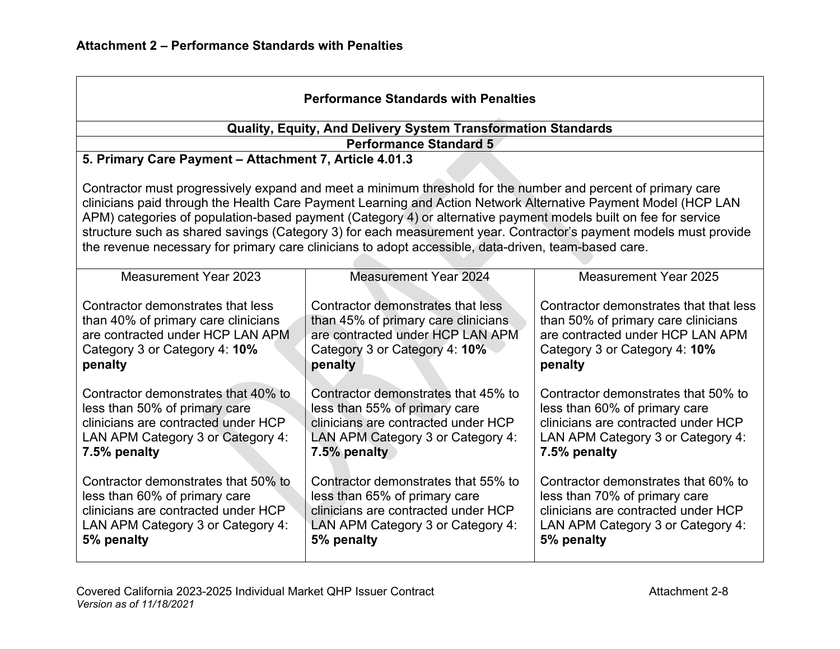| <b>Performance Standards with Penalties</b>                                                                                                                                                                                                                                                                                                                                                                                                                                                                                                                                    |                                                                                                                                                                  |                                                                                                                                                                  |  |  |
|--------------------------------------------------------------------------------------------------------------------------------------------------------------------------------------------------------------------------------------------------------------------------------------------------------------------------------------------------------------------------------------------------------------------------------------------------------------------------------------------------------------------------------------------------------------------------------|------------------------------------------------------------------------------------------------------------------------------------------------------------------|------------------------------------------------------------------------------------------------------------------------------------------------------------------|--|--|
|                                                                                                                                                                                                                                                                                                                                                                                                                                                                                                                                                                                | Quality, Equity, And Delivery System Transformation Standards                                                                                                    |                                                                                                                                                                  |  |  |
|                                                                                                                                                                                                                                                                                                                                                                                                                                                                                                                                                                                | <b>Performance Standard 5</b>                                                                                                                                    |                                                                                                                                                                  |  |  |
| 5. Primary Care Payment - Attachment 7, Article 4.01.3                                                                                                                                                                                                                                                                                                                                                                                                                                                                                                                         |                                                                                                                                                                  |                                                                                                                                                                  |  |  |
| Contractor must progressively expand and meet a minimum threshold for the number and percent of primary care<br>clinicians paid through the Health Care Payment Learning and Action Network Alternative Payment Model (HCP LAN<br>APM) categories of population-based payment (Category 4) or alternative payment models built on fee for service<br>structure such as shared savings (Category 3) for each measurement year. Contractor's payment models must provide<br>the revenue necessary for primary care clinicians to adopt accessible, data-driven, team-based care. |                                                                                                                                                                  |                                                                                                                                                                  |  |  |
| <b>Measurement Year 2023</b>                                                                                                                                                                                                                                                                                                                                                                                                                                                                                                                                                   | <b>Measurement Year 2024</b>                                                                                                                                     | Measurement Year 2025                                                                                                                                            |  |  |
| Contractor demonstrates that less<br>than 40% of primary care clinicians<br>are contracted under HCP LAN APM<br>Category 3 or Category 4: 10%<br>penalty                                                                                                                                                                                                                                                                                                                                                                                                                       | Contractor demonstrates that less<br>than 45% of primary care clinicians<br>are contracted under HCP LAN APM<br>Category 3 or Category 4: 10%<br>penalty         | Contractor demonstrates that that less<br>than 50% of primary care clinicians<br>are contracted under HCP LAN APM<br>Category 3 or Category 4: 10%<br>penalty    |  |  |
| Contractor demonstrates that 40% to<br>less than 50% of primary care<br>clinicians are contracted under HCP<br>LAN APM Category 3 or Category 4:<br>7.5% penalty                                                                                                                                                                                                                                                                                                                                                                                                               | Contractor demonstrates that 45% to<br>less than 55% of primary care<br>clinicians are contracted under HCP<br>LAN APM Category 3 or Category 4:<br>7.5% penalty | Contractor demonstrates that 50% to<br>less than 60% of primary care<br>clinicians are contracted under HCP<br>LAN APM Category 3 or Category 4:<br>7.5% penalty |  |  |
| Contractor demonstrates that 50% to<br>less than 60% of primary care<br>clinicians are contracted under HCP<br>LAN APM Category 3 or Category 4:<br>5% penalty                                                                                                                                                                                                                                                                                                                                                                                                                 | Contractor demonstrates that 55% to<br>less than 65% of primary care<br>clinicians are contracted under HCP<br>LAN APM Category 3 or Category 4:<br>5% penalty   | Contractor demonstrates that 60% to<br>less than 70% of primary care<br>clinicians are contracted under HCP<br>LAN APM Category 3 or Category 4:<br>5% penalty   |  |  |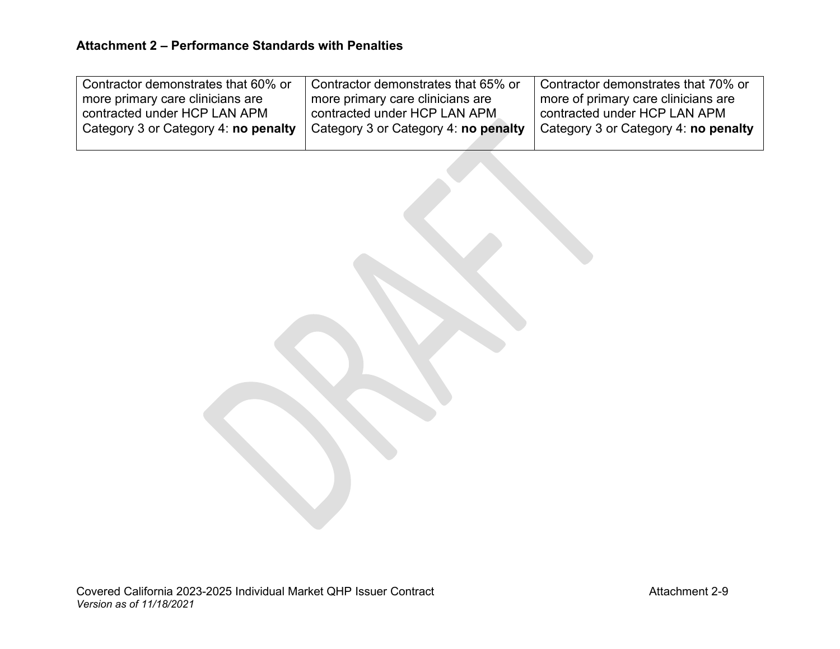| Ⅰ Contractor demonstrates that 60% or | Contractor demonstrates that 65% or  | Contractor demonstrates that 70% or  |
|---------------------------------------|--------------------------------------|--------------------------------------|
| more primary care clinicians are      | more primary care clinicians are     | more of primary care clinicians are  |
| l contracted under HCP LAN APM l      | contracted under HCP LAN APM         | contracted under HCP LAN APM         |
| Category 3 or Category 4: no penalty  | Category 3 or Category 4: no penalty | Category 3 or Category 4: no penalty |
|                                       |                                      |                                      |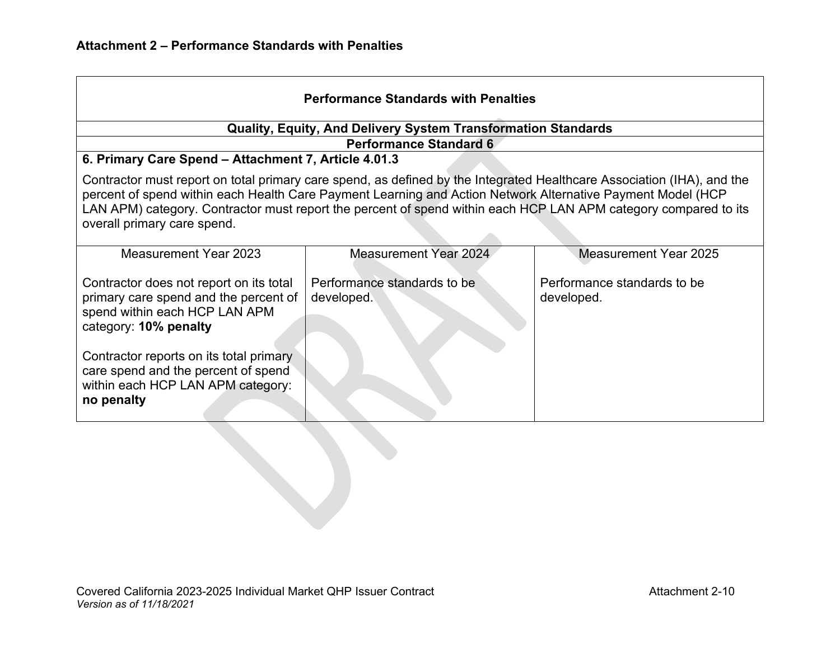| <b>Performance Standards with Penalties</b>                                                                                                                                                                                                                                                                                                                                             |                                           |                                           |  |
|-----------------------------------------------------------------------------------------------------------------------------------------------------------------------------------------------------------------------------------------------------------------------------------------------------------------------------------------------------------------------------------------|-------------------------------------------|-------------------------------------------|--|
| Quality, Equity, And Delivery System Transformation Standards<br><b>Performance Standard 6</b>                                                                                                                                                                                                                                                                                          |                                           |                                           |  |
| 6. Primary Care Spend - Attachment 7, Article 4.01.3                                                                                                                                                                                                                                                                                                                                    |                                           |                                           |  |
| Contractor must report on total primary care spend, as defined by the Integrated Healthcare Association (IHA), and the<br>percent of spend within each Health Care Payment Learning and Action Network Alternative Payment Model (HCP<br>LAN APM) category. Contractor must report the percent of spend within each HCP LAN APM category compared to its<br>overall primary care spend. |                                           |                                           |  |
| <b>Measurement Year 2023</b>                                                                                                                                                                                                                                                                                                                                                            | <b>Measurement Year 2024</b>              | <b>Measurement Year 2025</b>              |  |
| Contractor does not report on its total<br>primary care spend and the percent of<br>spend within each HCP LAN APM<br>category: 10% penalty                                                                                                                                                                                                                                              | Performance standards to be<br>developed. | Performance standards to be<br>developed. |  |
| Contractor reports on its total primary<br>care spend and the percent of spend<br>within each HCP LAN APM category:<br>no penalty                                                                                                                                                                                                                                                       |                                           |                                           |  |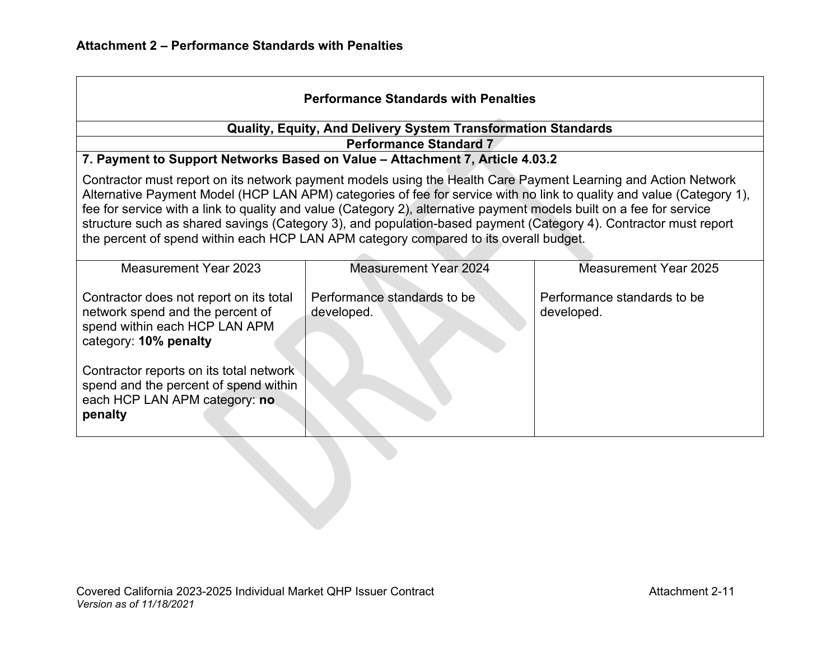| <b>Performance Standards with Penalties</b>                                                                                                                                                                                                                                                                                                                                                                                                                                                                                                                                                                                                                  |                                           |                                           |  |  |
|--------------------------------------------------------------------------------------------------------------------------------------------------------------------------------------------------------------------------------------------------------------------------------------------------------------------------------------------------------------------------------------------------------------------------------------------------------------------------------------------------------------------------------------------------------------------------------------------------------------------------------------------------------------|-------------------------------------------|-------------------------------------------|--|--|
| <b>Quality, Equity, And Delivery System Transformation Standards</b>                                                                                                                                                                                                                                                                                                                                                                                                                                                                                                                                                                                         |                                           |                                           |  |  |
|                                                                                                                                                                                                                                                                                                                                                                                                                                                                                                                                                                                                                                                              | <b>Performance Standard 7</b>             |                                           |  |  |
| 7. Payment to Support Networks Based on Value - Attachment 7, Article 4.03.2<br>Contractor must report on its network payment models using the Health Care Payment Learning and Action Network<br>Alternative Payment Model (HCP LAN APM) categories of fee for service with no link to quality and value (Category 1),<br>fee for service with a link to quality and value (Category 2), alternative payment models built on a fee for service<br>structure such as shared savings (Category 3), and population-based payment (Category 4). Contractor must report<br>the percent of spend within each HCP LAN APM category compared to its overall budget. |                                           |                                           |  |  |
| <b>Measurement Year 2023</b>                                                                                                                                                                                                                                                                                                                                                                                                                                                                                                                                                                                                                                 | <b>Measurement Year 2024</b>              | <b>Measurement Year 2025</b>              |  |  |
| Contractor does not report on its total<br>network spend and the percent of<br>spend within each HCP LAN APM<br>category: 10% penalty                                                                                                                                                                                                                                                                                                                                                                                                                                                                                                                        | Performance standards to be<br>developed. | Performance standards to be<br>developed. |  |  |
| Contractor reports on its total network<br>spend and the percent of spend within<br>each HCP LAN APM category: no<br>penalty                                                                                                                                                                                                                                                                                                                                                                                                                                                                                                                                 |                                           |                                           |  |  |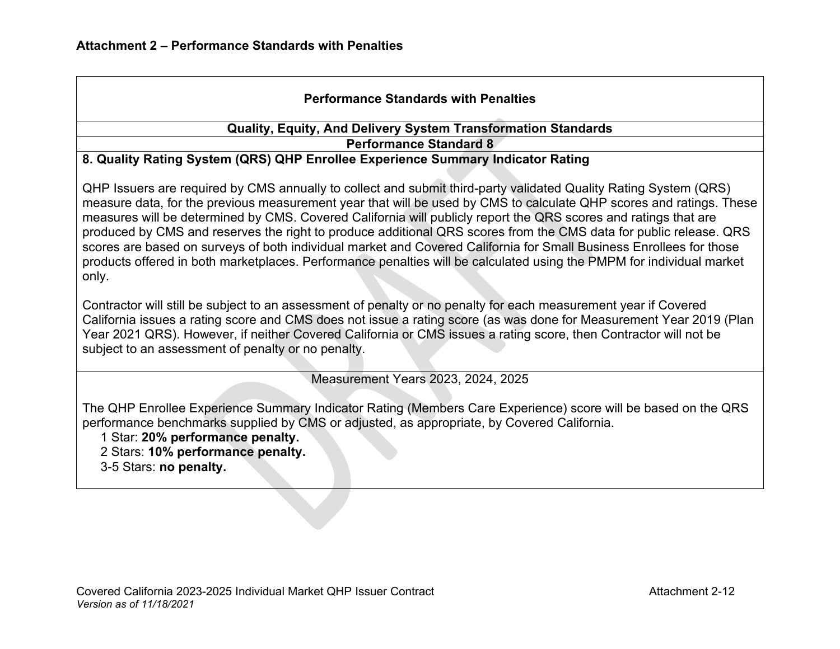### **Performance Standards with Penalties**

#### **Quality, Equity, And Delivery System Transformation Standards Performance Standard 8**

#### **8. Quality Rating System (QRS) QHP Enrollee Experience Summary Indicator Rating**

QHP Issuers are required by CMS annually to collect and submit third-party validated Quality Rating System (QRS) measure data, for the previous measurement year that will be used by CMS to calculate QHP scores and ratings. These measures will be determined by CMS. Covered California will publicly report the QRS scores and ratings that are produced by CMS and reserves the right to produce additional QRS scores from the CMS data for public release. QRS scores are based on surveys of both individual market and Covered California for Small Business Enrollees for those products offered in both marketplaces. Performance penalties will be calculated using the PMPM for individual market only.

Contractor will still be subject to an assessment of penalty or no penalty for each measurement year if Covered California issues a rating score and CMS does not issue a rating score (as was done for Measurement Year 2019 (Plan Year 2021 QRS). However, if neither Covered California or CMS issues a rating score, then Contractor will not be subject to an assessment of penalty or no penalty.

Measurement Years 2023, 2024, 2025

The QHP Enrollee Experience Summary Indicator Rating (Members Care Experience) score will be based on the QRS performance benchmarks supplied by CMS or adjusted, as appropriate, by Covered California.

1 Star: **20% performance penalty.** 

- 2 Stars: **10% performance penalty.**
- 3-5 Stars: **no penalty.**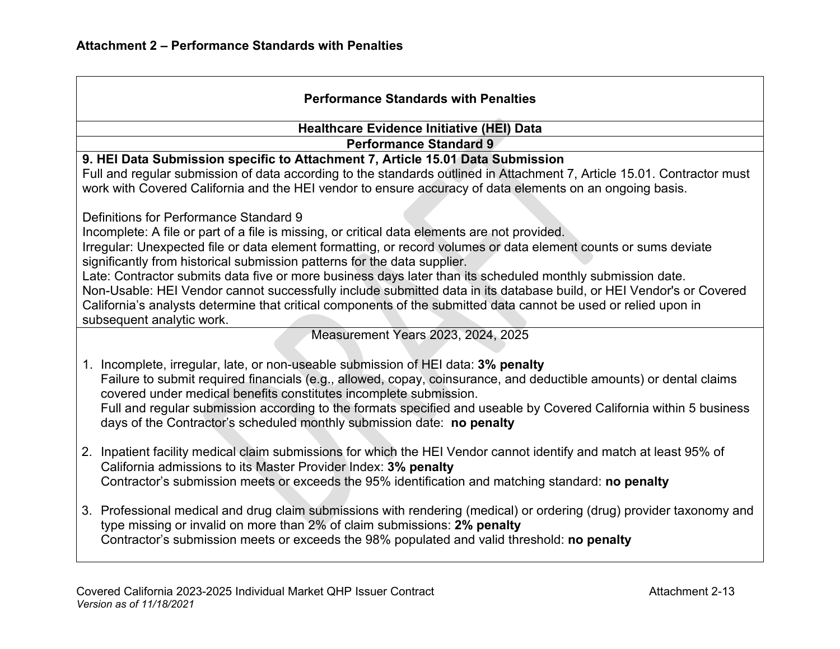| <b>Performance Standards with Penalties</b>                                                                                                                                                                                            |
|----------------------------------------------------------------------------------------------------------------------------------------------------------------------------------------------------------------------------------------|
| <b>Healthcare Evidence Initiative (HEI) Data</b>                                                                                                                                                                                       |
| <b>Performance Standard 9</b>                                                                                                                                                                                                          |
| 9. HEI Data Submission specific to Attachment 7, Article 15.01 Data Submission                                                                                                                                                         |
| Full and regular submission of data according to the standards outlined in Attachment 7, Article 15.01. Contractor must<br>work with Covered California and the HEI vendor to ensure accuracy of data elements on an ongoing basis.    |
| Definitions for Performance Standard 9                                                                                                                                                                                                 |
| Incomplete: A file or part of a file is missing, or critical data elements are not provided.                                                                                                                                           |
| Irregular: Unexpected file or data element formatting, or record volumes or data element counts or sums deviate                                                                                                                        |
| significantly from historical submission patterns for the data supplier.                                                                                                                                                               |
| Late: Contractor submits data five or more business days later than its scheduled monthly submission date.                                                                                                                             |
| Non-Usable: HEI Vendor cannot successfully include submitted data in its database build, or HEI Vendor's or Covered<br>California's analysts determine that critical components of the submitted data cannot be used or relied upon in |
| subsequent analytic work.                                                                                                                                                                                                              |
| Measurement Years 2023, 2024, 2025                                                                                                                                                                                                     |
|                                                                                                                                                                                                                                        |
| 1. Incomplete, irregular, late, or non-useable submission of HEI data: 3% penalty                                                                                                                                                      |
| Failure to submit required financials (e.g., allowed, copay, coinsurance, and deductible amounts) or dental claims<br>covered under medical benefits constitutes incomplete submission.                                                |
| Full and regular submission according to the formats specified and useable by Covered California within 5 business                                                                                                                     |
| days of the Contractor's scheduled monthly submission date: no penalty                                                                                                                                                                 |
|                                                                                                                                                                                                                                        |
| 2. Inpatient facility medical claim submissions for which the HEI Vendor cannot identify and match at least 95% of                                                                                                                     |
| California admissions to its Master Provider Index: 3% penalty                                                                                                                                                                         |
| Contractor's submission meets or exceeds the 95% identification and matching standard: no penalty                                                                                                                                      |
| 3. Professional medical and drug claim submissions with rendering (medical) or ordering (drug) provider taxonomy and                                                                                                                   |
| type missing or invalid on more than 2% of claim submissions: 2% penalty                                                                                                                                                               |
| Contractor's submission meets or exceeds the 98% populated and valid threshold: no penalty                                                                                                                                             |
|                                                                                                                                                                                                                                        |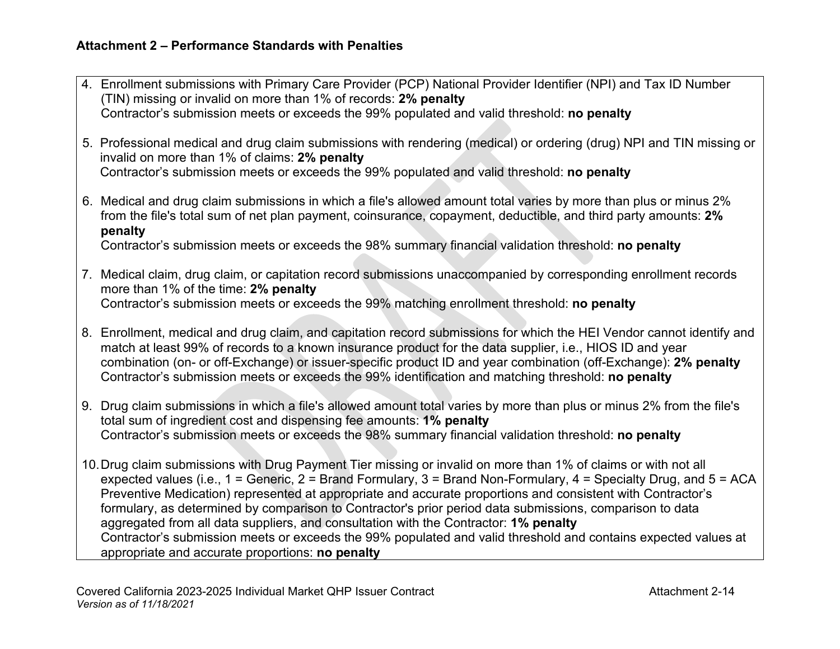| 4. Enrollment submissions with Primary Care Provider (PCP) National Provider Identifier (NPI) and Tax ID Number<br>(TIN) missing or invalid on more than 1% of records: 2% penalty                                                                                                                                                                                                                                                                                                                                                                     |
|--------------------------------------------------------------------------------------------------------------------------------------------------------------------------------------------------------------------------------------------------------------------------------------------------------------------------------------------------------------------------------------------------------------------------------------------------------------------------------------------------------------------------------------------------------|
| Contractor's submission meets or exceeds the 99% populated and valid threshold: no penalty                                                                                                                                                                                                                                                                                                                                                                                                                                                             |
| 5. Professional medical and drug claim submissions with rendering (medical) or ordering (drug) NPI and TIN missing or<br>invalid on more than 1% of claims: 2% penalty                                                                                                                                                                                                                                                                                                                                                                                 |
| Contractor's submission meets or exceeds the 99% populated and valid threshold: no penalty                                                                                                                                                                                                                                                                                                                                                                                                                                                             |
| 6. Medical and drug claim submissions in which a file's allowed amount total varies by more than plus or minus 2%<br>from the file's total sum of net plan payment, coinsurance, copayment, deductible, and third party amounts: 2%<br>penalty                                                                                                                                                                                                                                                                                                         |
| Contractor's submission meets or exceeds the 98% summary financial validation threshold: no penalty                                                                                                                                                                                                                                                                                                                                                                                                                                                    |
| 7. Medical claim, drug claim, or capitation record submissions unaccompanied by corresponding enrollment records<br>more than 1% of the time: 2% penalty<br>Contractor's submission meets or exceeds the 99% matching enrollment threshold: no penalty                                                                                                                                                                                                                                                                                                 |
| 8. Enrollment, medical and drug claim, and capitation record submissions for which the HEI Vendor cannot identify and<br>match at least 99% of records to a known insurance product for the data supplier, i.e., HIOS ID and year<br>combination (on- or off-Exchange) or issuer-specific product ID and year combination (off-Exchange): 2% penalty<br>Contractor's submission meets or exceeds the 99% identification and matching threshold: no penalty                                                                                             |
| 9. Drug claim submissions in which a file's allowed amount total varies by more than plus or minus 2% from the file's<br>total sum of ingredient cost and dispensing fee amounts: 1% penalty<br>Contractor's submission meets or exceeds the 98% summary financial validation threshold: no penalty                                                                                                                                                                                                                                                    |
| 10. Drug claim submissions with Drug Payment Tier missing or invalid on more than 1% of claims or with not all<br>expected values (i.e., 1 = Generic, 2 = Brand Formulary, 3 = Brand Non-Formulary, 4 = Specialty Drug, and 5 = ACA<br>Preventive Medication) represented at appropriate and accurate proportions and consistent with Contractor's<br>formulary, as determined by comparison to Contractor's prior period data submissions, comparison to data<br>aggregated from all data suppliers, and consultation with the Contractor: 1% penalty |
| Contractor's submission meets or exceeds the 99% populated and valid threshold and contains expected values at<br>appropriate and accurate proportions: no penalty                                                                                                                                                                                                                                                                                                                                                                                     |